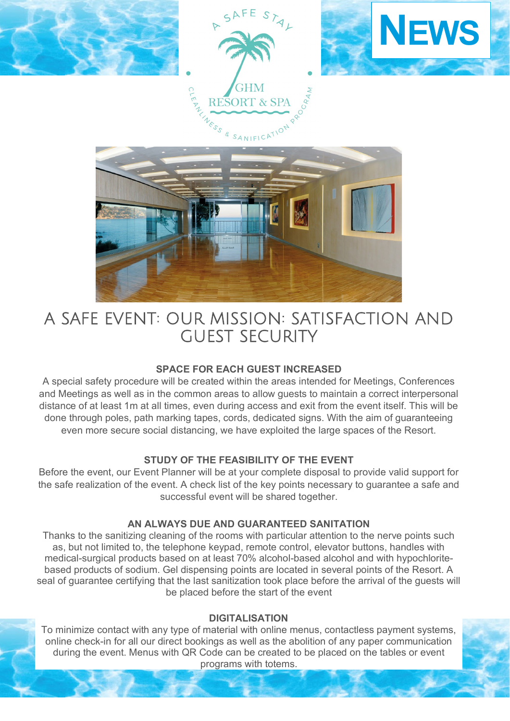

# A SAFE EVENT: OUR MISSION: SATISFACTION AND GUEST SECURITY

# **SPACE FOR EACH GUEST INCREASED**

A special safety procedure will be created within the areas intended for Meetings, Conferences and Meetings as well as in the common areas to allow guests to maintain a correct interpersonal distance of at least 1m at all times, even during access and exit from the event itself. This will be done through poles, path marking tapes, cords, dedicated signs. With the aim of guaranteeing even more secure social distancing, we have exploited the large spaces of the Resort.

# **STUDY OF THE FEASIBILITY OF THE EVENT**

Before the event, our Event Planner will be at your complete disposal to provide valid support for the safe realization of the event. A check list of the key points necessary to guarantee a safe and successful event will be shared together.

## **AN ALWAYS DUE AND GUARANTEED SANITATION**

Thanks to the sanitizing cleaning of the rooms with particular attention to the nerve points such as, but not limited to, the telephone keypad, remote control, elevator buttons, handles with medical-surgical products based on at least 70% alcohol-based alcohol and with hypochloritebased products of sodium. Gel dispensing points are located in several points of the Resort. A seal of guarantee certifying that the last sanitization took place before the arrival of the guests will be placed before the start of the event

# **DIGITALISATION**

To minimize contact with any type of material with online menus, contactless payment systems, online check-in for all our direct bookings as well as the abolition of any paper communication during the event. Menus with QR Code can be created to be placed on the tables or event programs with totems.